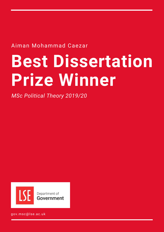Aiman Mohammad Caezar

# **Best Dissertation Prize Winner**

*MSc Political Theory 2019/20*



gov.msc@lse.ac.uk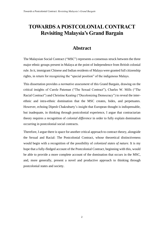## **TOWARDS A POSTCOLONIAL CONTRACT Revisiting Malaysia's Grand Bargain**

## **Abstract**

<span id="page-1-0"></span>The Malaysian Social Contract ("MSC") represents a consensus struck between the three major ethnic groups present in Malaya at the point of Independence from British colonial rule. In it, immigrant Chinese and Indian residents of Malaya were granted full citizenship rights, in return for recognizing the "special position" of the indigenous Malays.

This dissertation provides a *normative assessment* of this Grand Bargain, drawing on the critical insights of Carole Pateman ("The Sexual Contract"), Charles W. Mills ("The Racial Contract") and Christine Keating ("Decolonizing Democracy") to reveal the interethnic and intra-ethnic domination that the MSC creates, hides, and perpetuates. However, echoing Dipesh Chakrabarty's insight that European thought is indispensable, but inadequate, in thinking through postcolonial experience, I argue that contractarian theory requires a recognition of *colonial difference* in order to fully explain domination occurring in postcolonial social contracts.

Therefore, I argue there is space for another critical approach to contract theory, alongside the Sexual and Racial: The Postcolonial Contract, whose theoretical distinctiveness would begin with a recognition of the possibility of *colonized states of nature.* It is my hope that a fully-fledged account of the Postcolonial Contract, beginning with this, would be able to provide a more complete account of the domination that occurs in the MSC, and, more generally, present a novel and productive approach to thinking through postcolonial states and society.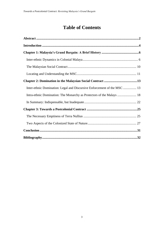## **Table of Contents**

| Inter-ethnic Domination: Legal and Discursive Enforcement of the MSC  13 |  |
|--------------------------------------------------------------------------|--|
| Intra-ethnic Domination: The Monarchy as Protectors of the Malays  18    |  |
|                                                                          |  |
|                                                                          |  |
|                                                                          |  |
|                                                                          |  |
|                                                                          |  |
|                                                                          |  |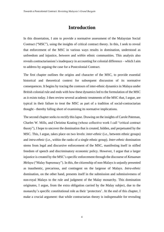## **Introduction**

<span id="page-3-0"></span>In this dissertation, I aim to provide a normative assessment of the Malaysian Social Contract ("MSC"), using the insights of critical contract theory. In this, I seek to reveal that enforcement of the MSC in various ways results in domination, understood as unfreedom and injustice, *between* and *within* ethnic communities. This analysis also reveals contractarianism's inadequacy in accounting for colonial difference – which I aim to address by arguing the case for a Postcolonial Contract.

The first chapter outlines the origins and character of the MSC, to provide essential historical and theoretical context for subsequent discussion of its normative consequences. It begins by tracing the contours of inter-ethnic dynamics in Malaya under British colonial rule and ends with how these dynamics led to the formulation of the MSC as it exists today. I then review several academic treatments of the MSC that, I argue, are typical in their failure to treat the MSC as part of a tradition of social-contractarian thought - thereby falling short of examining its normative implications.

The second chapter seeks to rectify this lapse. Drawing on the insights of Carole Pateman, Charles W. Mills, and Christine Keating (whose collective work I call "critical contract theory"), I hope to uncover the domination that is created, hidden, and perpetuated by the MSC. This, I argue, takes place on two levels: *inter-ethnic* (i.e., between ethnic groups) and *intra-ethnic* (i.e., within the ranks of a single ethnic group). *Inter-ethnic* domination stems from legal and discursive enforcement of the MSC, manifesting itself in stifled freedom of speech and discriminatory economic policy. However, I argue that a larger injustice is created by the MSC's specific enforcement through the discourse of *Ketuanan Melayu* ("Malay Supremacy"). In this, the citizenship of non-Malays is unjustly presented as inauthentic, precarious, and contingent on the largesse of Malays. *Intra-ethnic* domination, on the other hand, presents itself in the submission and submissiveness of non-royal Malays to the rule and judgment of the Malay monarchy. This domination originates, I argue, from the extra obligation carried by the Malay subject, due to the monarchy's specific constitutional role as their 'protectors'. At the end of this chapter, I make a crucial argument: that while contractarian theory is indispensable for revealing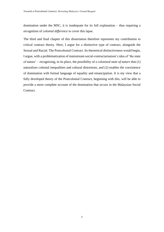domination under the MSC, it is inadequate for its full explanation – thus requiring a recognition of *colonial difference* to cover this lapse.

The third and final chapter of this dissertation therefore represents my contribution to critical contract theory. Here, I argue for a distinctive type of contract, alongside the Sexual and Racial: The Postcolonial Contract. Its theoretical distinctiveness would begin, I argue, with a problematization of mainstream social-contractarianism's idea of 'the state of nature' – recognizing, in its place, the possibility of a *colonized state of nature* that (1) naturalizes colonial inequalities and cultural distortions, and (2) enables the coexistence of domination with formal language of equality and emancipation. It is my view that a fully developed theory of the Postcolonial Contract, beginning with this, will be able to provide a more complete account of the domination that occurs in the Malaysian Social Contract.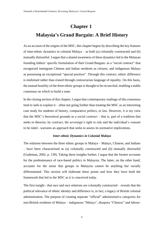# <span id="page-5-0"></span>**Chapter 1: Malaysia's Grand Bargain: A Brief History**

As an account of the origins of the MSC, this chapter begins by describing the key features of inter-ethnic dynamics in colonial Malaya – as both (a) colonially constructed and (b) mutually distrustful. I argue that a shared awareness of these dynamics led to the Malayan founding fathers' specific formulation of their Grand Bargain: as a "social contract" that recognized immigrant Chinese and Indian residents as citizens, and indigenous Malays as possessing an exceptional "special position". Through this contract, ethnic difference is enshrined rather than erased through contractarian language of equality. On this basis, the mutual hostility of the three ethnic groups is thought to be reconciled, enabling a stable consensus on which to build a state.

In the closing section of this chapter, I argue that contemporary readings of this consensus tend to seek to explain it – often not going further than treating the MSC as an interesting case study for students of history, comparative politics, or law. However, it is my view that the MSC's theoretical grounds as a *social contract* – that is, part of a tradition that seeks to theorize, by *contract,* the sovereign's right to rule and the individual's consent to be ruled - warrants an approach that seeks to assess its normative implications.

#### *Inter-ethnic Dynamics in Colonial Malaya*

<span id="page-5-1"></span>The relations between the three ethnic groups in Malaya – Malays, Chinese, and Indians – have been characterised as (a) colonially constructed and (b) mutually distrustful (Gudeman, 2002, p. 139)*.* Taking these insights further, I argue that the former accounts for the predominance of race-based politics in Malaysia. The latter, on the other hand, accounts for the sense that groups in Malaysia cannot be anything *but* racially differentiated. This section will elaborate these points and how they have built the framework that led to the MSC as it is conceived today.

The first insight - that race and race relations are colonially constructed – reveals that the political relevance of ethnic identity and difference is, in fact, a legacy of British colonial administration. The purpose of creating separate "official" administrative categories for non-British residents of Malaya – indigenous "Malays", diaspora "Chinese" and labour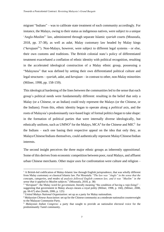migrant "Indians" – was to calibrate state treatment of each community accordingly. For instance, the Malays, owing to their status as indigenous natives, were subject to a unique 'Anglo-Muslim<sup>1</sup>' law, administered through separate Islamic *syariah* courts (Moustafa, 2018, pp. 37-38), as well as *adat,* Malay customary law headed by Malay kings ("kerajaan<sup>2</sup>"). Non-Malays, however, were subject to different legal systems - or else, their own customs and traditions. The British colonial state's policy of differentiated treatment exacerbated a conflation of ethnic identity with political recognition, resulting in the accelerated ideological construction of a Malay ethnic group, possessing a "Malayness" that was defined by setting their own differentiated political culture and legal structures – *syariah, adat*, and *kerajaan* – in contrast to other, non-Malay minorities (Milner, 1998, pp. 158-159).

This ideological hardening of the lines between the communities led to the sense that each group's political needs were fundamentally different: resulting in the belief that only a Malay (or a Chinese, or an Indian) could truly represent the Malays (or the Chinese, or the Indians). From this, ethnic identity began to operate along a *political* axis, and the roots of Malaysia's predominantly race-based logic of formal politics began to take shape: in the formation of political parties that were internally diverse ideologically, but ethnically uniform, such as  $UMNO<sup>3</sup>$  for the Malays,  $MCA<sup>4</sup>$  for the Chinese and  $MIC<sup>5</sup>$  for the Indians – each one basing their respective appeal on the idea that only they, as Malays/Chinese/Indians themselves, could authentically represent Malay/Chinese/Indian interests.

The second insight perceives the three major ethnic groups as inherently *oppositional*. Some of this derives from economic competition between poor, rural Malays, and affluent urban Chinese merchants. Other major axes for confrontation were culture and religion –

 $<sup>1</sup>$  A British-led codification of Malay-Islamic law through English jurisprudence, that was wholly different</sup> from Malay customary or classical Islamic law. Per Moustafa: "*The law was "Anglo" in the sense that the concepts, categories, and modes of analysis followed English common law, and it was "Muslim" in the sense that it applied to Muslim subjects*." (Moustafa, 2018, p. 38)

<sup>2</sup> "*Kerajaan*": the Malay word for government, literally meaning "the condition of having a *raja* (king)" – suggesting that government in Malay always means a royal polity (Milner, 1998, p. 160), (Milner, 2008, pp. 66-67) also (Smith, 2006, p. 125)

<sup>&</sup>lt;sup>3</sup> United Malays National Organization: set up as a party for Malay nationalism.

<sup>4</sup> *Malaysian Chinese Association*: set up for the Chinese community as a moderate nationalist counterweight to the Malayan Communist Party.

<sup>5</sup> *Malaysian Indian Congress*: a party that sought to provide an nationalist electoral voice for the predominantly Tamil community.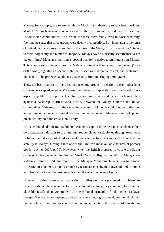Malays, for example, are overwhelmingly Muslim and therefore refrain from pork and alcohol. No such taboos were observed by the predominantly Buddhist Chinese and Hindu Indian communities. As a result, the three races rarely lived in close proximity, fuelling the sense that three groups were deeply incompatible. But, in no area is the sense of mutual distrust more apparent than in the issue of the Malays' 'special position.' Owing to their indigeneity and numerical majority, Malays have historically seen themselves as the only 'true' Malayans, meriting a 'special position' relative to immigrant non-Malays. This is apparent in the term used by Malays to describe themselves, *Bumiputera* ("sons of the soil"), signalling a special right that is seen as inherent, ancestral, and exclusive  $$ one that is to be protected at all costs, especially from interloping immigrants.

Thus, the basic stances of the three major ethnic groups in relation to each other have come to be accepted, even by Malayans themselves, as implacably confrontational. Every aspect of public life – political, cultural, economic – was understood as taking place against a backdrop of irresolvable rivalry between the Malay, Chinese and Indian communities. This results in the sense that society in Malaysia could not be understood as anything *but* ethnically divided, because mutual incompatibility across multiple planes precludes any possible cross-ethnic unity.

British colonial administrators did not hesitate to exploit these divisions to advance their own extractive industries (e.g. tin mining, rubber plantations). Honed through experience in India, their strategy of divide-and-rule managed to forge a semblance of inter-ethnic stability in Malaya, turning it into one of the Empire's most valuable sources of primary goods (Levine, 2007, p. 99). However, when the British prepared to vacate the Straits colonies in the wake of the Second World War, 'self-government' for Malaya was suddenly imminent. At this moment, the Malayan "founding fathers" - a multiracial collection of elite men, united as much by nationalism as by their own cultural affinities with England - found themselves poised to take over the levers of state.

However, making sense of this transition to self-government presented a problem. As these men did not have recourse to British colonial ideology, they could not, for example, plausibly justify their government on the colonial principle of "civilizing" Malayan savages. There was consequently a need for a new ideological foundation on which their mutually hostile communities could continue to cooperate in the absence of a mediating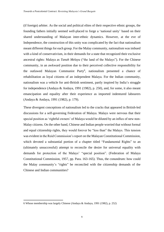(if foreign) arbiter. As the social and political elites of their respective ethnic groups, the founding fathers initially seemed well-placed to forge a 'national unity' based on their shared understanding of Malayan inter-ethnic dynamics. However, at the eve of Independence, the construction of this unity was complicated by the fact that nationalism meant different things for each group. For the Malay community, nationalism was imbued with a kind of conservativism, in their demands for a state that recognized their exclusive ancestral rights: Malaya as *Tanah Melayu* ("the land of the Malays"). For the Chinese community, in an awkward position due to their perceived collective responsibility for the outlawed Malayan Communist Party<sup>6</sup>, nationalism presented a chance of rehabilitation as loyal citizens of an independent Malaya. For the Indian community, nationalism was a vehicle for anti-British sentiment, partly inspired by India's struggle for independence (Andaya & Andaya, 1991 (1982), p. 250), and, for some, it also meant emancipation and equality after their experience as imported indentured labourers (Andaya & Andaya, 1991 (1982), p. 179).

These divergent conceptions of nationalism led to the cracks that appeared in British-led discussions for a self-governing Federation of Malaya. Malays were nervous that their special position as 'rightful owners' of Malaya would be diluted by an influx of new non-Malay citizens. On the other hand, Chinese and Indian people worried that without formal and equal citizenship rights, they would forever be "less than" the Malays. This tension was evident in the Reid Commission's report on the Malayan Constitutional Commission, which devoted a substantial portion of a chapter titled "Fundamental Rights" to an (ultimately unsuccessful) attempt to reconcile the desire for universal equality with demands for protection of the Malays' "special position". (Federation of Malaya Constitutional Commission, 1957, pp. Para. 163-165). Thus, the conundrum: how could the Malay community's "rights" be reconciled with the citizenship demands of the Chinese and Indian communities?

<sup>6</sup> Whose membership was largely Chinese (Andaya & Andaya, 1991 (1982), p. 252)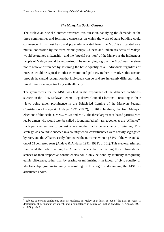#### *The Malaysian Social Contract*

<span id="page-9-0"></span>The Malaysian Social Contract answered this question, satisfying the demands of the three communities and forming a consensus on which the work of state-building could commence. In its most basic and popularly repeated form, the MSC is articulated as a mutual concession by the three ethnic groups: Chinese and Indian residents of Malaya would be granted citizenship<sup>7</sup>, and the "special position" of the Malays as the indigenous people of Malaya would be recognized. The underlying logic of the MSC was therefore not to resolve difference by assuming the basic equality of all individuals regardless of race, as would be typical in other constitutional polities. Rather, it resolves this tension through the candid recognition that individuals can be, and are, inherently different – with this difference always tracking with ethnicity.

The groundwork for the MSC was laid in the experience of the Alliance coalition's success in the 1955 Malayan Federal Legislative Council Elections – resulting in their views being given prominence in the British-led framing of the Malayan Federal Constitution (Andaya & Andaya, 1991 (1982), p. 261). In these, the first Malayan elections of this scale, UMNO, MCA and MIC - the three largest race-based parties (each led by a man who would later be called a founding father) – ran together as the "Alliance". Each party agreed not to contest where another had a better chance of winning. This strategy was bound to succeed in a country where constituencies were heavily segregated by race, and the Alliance easily dominated the outcome, winning 81% of the vote and 51 out of 52 contested seats (Andaya & Andaya, 1991 (1982), p. 261). This electoral triumph reinforced the notion among the Alliance leaders that reconciling the confrontational stances of their respective constituencies could only be done by mutually recognizing ethnic difference, rather than by erasing or minimizing it in favour of civic equality or ideological/programmatic unity – resulting in this logic underpinning the MSC as articulated above.

<sup>7</sup> Subject to certain conditions, such as residence in Malay of at least 15 out of the past 25 years, a declaration of permanent settlement, and a competence in Malay or English (Andaya & Andaya, 1991 (1982), p. 256)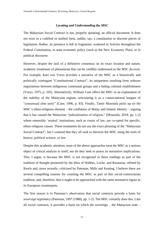#### *Locating and Understanding the MSC*

<span id="page-10-0"></span>The Malaysian Social Contract is not, properly speaking, an official document. It does not exist in a codified or unified form, unlike, say, a constitution or discrete pieces of legislation. Rather, its presence is felt in fragments: scattered in Articles throughout the Federal Constitution, in state economic policy (such as the New Economic Plan), or in political discourse.

However, despite the lack of a definitive consensus on its exact location and nature, academic treatments of phenomena that can be credibly understood as the MSC do exist. For example, Karl von Vorys provides a narrative of the MSC as a historically and politically contingent "Constitutional Contract", its uniqueness resulting from arduous negotiations between indigenous communal groups and a fading colonial establishment (Vorys, 1975, p. 105). Alternatively, William Case offers the MSC as an explanation of the stability of the Malaysian regime, articulating it as a consociational bargain of "consensual elite unity" (Case, 1996, p. 83). Finally, Tamir Moustafa picks up on the MSC's ethno-religious element – the conflation of Malay and Islamic identity – arguing that it has caused the Malaysian "judicialization of religion," (Moustafa, 2018, pp. 1-2) where ostensibly 'neutral' institutions, such as courts of law, are co-opted for specific, ethno-religious causes. These treatments do not use the exact phrasing of the "Malaysian Social Contract", but I contend that they all seek to theorize the MSC using the tools of history, political science, or law.

Despite this academic attention, none of the above approaches treat the MSC as a serious object of critical analysis in itself, nor do they seek to assess its normative implications. This, I argue, is because the MSC is not recognized in these readings as part of the tradition of thought pioneered by the likes of Hobbes, Locke, and Rousseau, refined by Rawls and, more recently, criticised by Pateman, Mills and Keating. I believe there are several compelling reasons for counting the MSC as part of this social-contractarian tradition, and, therefore, that it ought to be approached with the same normative rigour as its European counterparts.

The first reason is in Pateman's observation that social contracts provide a basis for *sovereign legitimacy* (Pateman, 1997 (1988), pp. 1-2). The MSC certainly does this. Like all social contracts, it provides a basis on which the sovereign – the Malaysian state –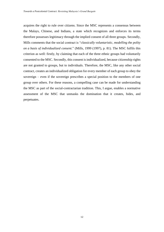acquires the right to rule over citizens. Since the MSC represents a consensus between the Malays, Chinese, and Indians, a state which recognizes and enforces its terms therefore possesses legitimacy through the implied consent of all three groups. Secondly, Mills comments that the social contract is "*classically voluntaristic, modelling the polity on a basis of individualized consent*." (Mills, 1999 (1997), p. 81). The MSC fulfils this criterion as well: firstly, by claiming that each of the three ethnic groups had voluntarily consented to the MSC. Secondly, this consent is individualized, because citizenship rights are not granted to groups, but to individuals. Therefore, the MSC, like any other social contract, creates an individualized obligation for every member of each group to obey the sovereign – even if the sovereign prescribes a special position to the members of one group over others. For these reasons, a compelling case can be made for understanding the MSC as part of the social-contractarian tradition. This, I argue, enables a normative assessment of the MSC that unmasks the domination that it creates, hides, and perpetuates.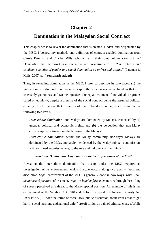# <span id="page-12-0"></span>**Chapter 2: Domination in the Malaysian Social Contract**

This chapter seeks to reveal the domination that is created, hidden, and perpetuated by the MSC. I borrow my methods and definition of contract-enabled domination from Carole Pateman and Charles Mills, who write in their joint volume *Contract and Domination* that their work is a *descriptive* and *normative* effort to "*characterize and condemn societies of gender and racial domination as unfree and unjust.*" (Pateman & Mills, 2007, p. 4) **(emphasis added)**

Thus, in revealing domination in the MSC, I seek to describe its two faces: (1) the unfreedom of individuals and groups, despite the wider narrative of freedom that is it ostensibly guarantees, and (2) the injustice of unequal treatment of individuals or groups based on ethnicity, despite a premise of the social contract being the assumed political equality of all. I argue that instances of this unfreedom and injustice occur on the following two levels:

- *i. Inter-ethnic domination*: non-Malays are dominated by Malays, evidenced by (a) unequal political and economic rights, and (b) the perception that non-Malay citizenship is contingent on the largesse of the Malays.
- *ii. Intra-ethnic domination*: within the Malay community*,* non-royal Malays are dominated by the Malay monarchy, evidenced by the Malay subject's submission, and continued submissiveness, to the rule and judgment of their kings.

## *Inter-ethnic Domination: Legal and Discursive Enforcement of the MSC*

<span id="page-12-1"></span>Revealing the inter-ethnic domination that occurs under the MSC requires an investigation of its enforcement, which I argue occurs along two axes – *legal* and *discursive*. *Legal* enforcement of the MSC is generally done in two ways, what I call *negative* and *positive* enforcement. *Negative legal enforcement* occurs through the stifling of speech perceived as a threat to the Malay special position. An example of this is the enforcement of the Sedition Act 1948 and, before its repeal, the Internal Security Act 1960 ("ISA"). Under the terms of these laws, public discussion about issues that might harm "social harmony and national unity" are off limits, on pain of criminal charge. While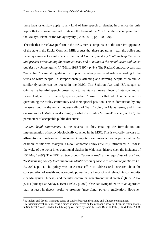these laws ostensibly apply to any kind of hate speech or slander, in practice the only topics that are considered off limits are the terms of the MSC: i.e. the special position of the Malays, Islam, or the Malay royalty (Chin, 2018, pp. 178-179).

The role that these laws perform in the MSC merits comparison to the coercive apparatus of the state in the Racial Contract. Mills argues that these apparatus – e.g., the police and penal system – act as enforcers of the Racial Contract, working "*both to keep the peace and prevent crime among the white citizens, and to maintain the racial order and detect and destroy challenges to it*" (Mills, 1999 (1997), p. 84). The Racial Contract reveals that "race-blind" criminal legislation is, in practice, always enforced solely according to the terms of white people - disproportionately affecting and harming people of colour. A similar dynamic can be traced in the MSC. The Sedition Act and ISA sought to criminalize harmful speech, presumably to maintain an overall level of inter-communal peace. But, in effect, the only speech judged 'harmful' is that which is perceived as questioning the Malay community and their special position. This is domination by any measure: both in the unjust understanding of 'harm' solely in Malay terms, and in the outsize role of Malays in deciding (1) what constitutes 'criminal' speech, and (2) the parameters of acceptable public discourse.

*Positive legal enforcement* is the reverse of this, entailing the formulation and implementation of policy ideologically couched in the MSC. This is typically the case for affirmative action designed to increase Bumiputera welfare or economic participation. An example of this was Malaysia's New Economic Policy ("NEP"), introduced in 1970 in the wake of the worst inter-communal clashes in Malaysian history (i.e., the incidents of 13<sup>th</sup> May 1969<sup>8</sup>). The NEP had two prongs: "*poverty eradication regardless of race*" and "*restructuring society to eliminate the identification of race with economic function*". (K. S., 2004, p. 1). The policy was an earnest effort to address real concerns about the concentration of wealth and economic power in the hands of a single ethnic community (the Malaysian Chinese), and the inter-communal resentment that it creates $^9$  (K. S., 2004, p. iii) (Andaya & Andaya, 1991 (1982), p. 289). One can sympathize with an approach that, at least in theory, seeks to promote 'race-blind' poverty eradication. However,

<sup>&</sup>lt;sup>8</sup> A violent and deeply traumatic series of clashes between the Malay and Chinese communities.

<sup>9</sup> A fascinating volume collecting a range of perspectives on the economic power of Chinese ethnic groups in Southeast Asia is listed in the bibliography, edited by Jomo K.S. and Brian C. Folk (K.S. & Folk, 2003).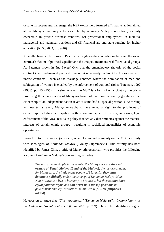despite its race-neutral language, the NEP exclusively featured affirmative action aimed at the Malay community - for example, by requiring Malay quotas for (1) equity ownership in private business ventures, (2) professional employment in lucrative managerial and technical positions and (3) financial aid and state funding for higher education (K. S., 2004, pp. 9-16).

A parallel here can be drawn to Pateman's insight on the contradiction between the social contract's fiction of political equality and the unequal treatment of differentiated groups. As Pateman shows in *The Sexual Contract*, the emancipatory rhetoric of the social contract (i.e. fundamental political freedoms) is severely undercut by the existence of unfree contracts – such as the marriage contract, where the domination of men and subjugation of women is enabled by the enforcement of conjugal rights (Pateman, 1997 (1988), pp. 154-155). In a similar way, the MSC is a form of emancipatory rhetoric – promising the emancipation of Malayans from colonial domination, by granting equal citizenship of an independent nation (even if some had a 'special position'). According to these terms, every Malaysian ought to have an equal right to the privileges of citizenship, including participation in the economic sphere. However, as shown, legal enforcement of the MSC results in policy that actively discriminates against the material interests of certain ethnic groups - resulting in racialized inequalities of economic opportunity.

I now turn to *discursive enforcement*, which I argue relies mainly on the MSC's affinity with ideologies of *Ketuanan Melayu* ("Malay Supremacy"). This affinity has been identified by James Chin, a critic of Malay ethnocentrism, who provides the following account of *Ketuanan Melayu's* overarching narrative:

*The narrative in simple terms is this: the Malay race are the real owners of Tanah Melayu (Land of the Malays), the historical name for Malaya. As the indigenous people of Malaysia, they must dominate politically under the concept of Ketuanan Melayu Islam. Non-Malays can live in harmony in Malaysia, but they cannot have equal political rights and can never hold the top positions in government and key institutions. (Chin, 2020, p. 289)* **(emphasis added)**

He goes on to argue that *"This narrative…"* (*Ketuanan Melayu*)*"… became known as the Malaysian 'social contract'"* (Chin, 2020, p. 289). Thus, Chin identifies a logical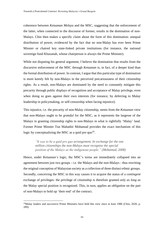coherence between *Ketuanan Melayu* and the MSC, suggesting that the enforcement of the latter, when connected to the discourse of former, results in the domination of non-Malays. Chin then makes a specific claim about the form of this domination: unequal distribution of power, evidenced by the fact that no non-Malay has ever been Prime Minster or chaired key state-linked private institutions (for instance, the national sovereign fund Khazanah, whose chairperson is always the Prime Minister).

While not disputing his general argument, I believe the domination that results from the discursive enforcement of the MSC through *Ketuanan* is, in fact, of a deeper kind than the formal distribution of power. In contrast, I argue that this particular type of domination is more keenly felt by non-Malays in the perceived precariousness of their citizenship rights. As a result, non-Malays are dominated by the need to constantly mitigate this precarity through public displays of recognition and acceptance of Malay privilege, even when doing so goes against their own interests (for instance, by deferring to Malay leadership in policymaking, or self-censorship when facing injustice).

This injustice, i.e. the precarity of non-Malay citizenship, stems from the *Ketuanan* view that non-Malays ought to be *grateful* for the MSC, as it represents the largesse of the Malays in granting citizenship rights to non-Malays in what is rightfully 'Malay' land. Former Prime Minster Tun Mahathir Mohamad provides the exact mechanism of this logic by conceptualizing the MSC as a quid pro quo $^{10}$ .

*"It was to be a quid pro quo arrangement. In exchange for the one million citizenships the non-Malays must recognise the special position of the Malays as the indigenous people." (Mohamad, 2008)*

Hence, under *Ketuanan's* logic, the MSC's terms are immediately collapsed into an agreement between just two groups - i.e. the Malays and the *non*-Malays - thus rewriting the original conception of Malaysian society as a collection of three distinct ethnic groups. Secondly, conceiving the MSC in this way causes it to acquire the status of a *contingent* exchange of privileges: the privilege of citizenship is therefore granted *only as long as* the Malay special position is recognized. This, in turn, applies an *obligation* on the part of non-Malays to hold up 'their end' of the contract.

<sup>10</sup>Malay leaders and successive Prime Ministers have held this view since at least 1986 (Chin, 2020, p. 289).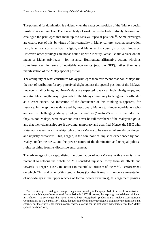The potential for domination is evident when the exact composition of the 'Malay special position' is itself unclear. There is no body of work that seeks to definitively theorize and catalogue the privileges that make up the Malays' 'special position'<sup>11</sup>. Some privileges are clearly part of this, by virtue of their centrality in Malay culture - such as reservation land, Islam's status as official religion, and Malay as the country's official language. However, other privileges are not as bound up with identity, yet still claim a place on the menu of Malay privileges - for instance, Bumiputera affirmative action, which is sometimes cast in terms of equitable economics (e.g. the NEP), rather than as a manifestation of the Malay special position.

The ambiguity of what constitutes Malay privileges therefore means that non-Malays run the risk of retribution for *any* perceived slight against the special position of the Malays, however small or imagined. Non-Malays are expected to walk an invisible tightrope, and any stumble along the way is grounds for the Malay community to denigrate the offender as a lesser citizen. An indication of the dominance of this thinking is apparent, for instance, in the epithets widely used by reactionary Malays to slander non-Malays who are seen as challenging Malay privilege: *pendatang* ("visitors") – i.e., a reminder that they, as non-Malays, were never and can never be full members of the Malaysian *polis,* and that their citizenships are, if anything, temporary and qualified. Hence, the MSC with *Ketuanan* causes the citizenship rights of non-Malays to be seen as inherently contingent and unjustly precarious. This, I argue, is the core political injustice experienced by non-Malays under the MSC, and the precise nature of the domination and unequal political rights resulting from its discursive enforcement.

The advantage of conceptualising the domination of non-Malays in this way is in its potential to refocus the debate on MSC-enabled injustice, away from its effects and towards its deeper causes. In contrast to materialist criticism of the MSC's enforcement on which Chin and other critics tend to focus (i.e. that it results in under-representation of non-Malays at the upper reaches of formal power structures), this argument posits a

<sup>&</sup>lt;sup>11</sup> The first attempt to catalogue these privileges was probably in Paragraph 164 of the Reid Commission's report on the Malayan Constitutional Commission in 1957. However, this report grounded these privileges in tradition – as privileges that have "always been recognized" (Federation of Malaya Constitutional Commission, 1957, p. Para. 164). Thus, the question of cultural or ideological origins for the formation and character of these privileges remains open-ended, allowing for the ambiguity that characterises the "Malay special position" today.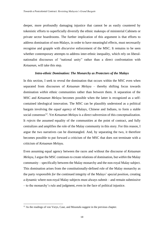deeper, more profoundly damaging injustice that cannot be as easily countered by tokenistic efforts to superficially diversify the ethnic makeups of ministerial Cabinets or private sector boardrooms. The further implication of this argument is that efforts to address domination of non-Malays, in order to have meaningful effects, must necessarily recognise and grapple with *discursive* enforcement of the MSC. It remains to be seen whether contemporary attempts to address inter-ethnic inequality, which rely on liberalnationalist discourses of "national unity" rather than a direct confrontation with *Ketuanan*, will take this step.

#### *Intra-ethnic Domination: The Monarchy as Protectors of the Malays*

<span id="page-17-0"></span>In this section, I seek to reveal the domination that occurs within the MSC even when separated from discourses of *Ketuanan Melayu –* thereby shifting focus towards domination *within* ethnic communities rather than *between* them. A separation of the MSC and *Ketuanan Melayu* becomes possible when the latter is recognized as a selfcontained ideological innovation. The MSC can be plausibly understood as a political bargain involving the *equal agency* of Malays, Chinese and Indians, to form a stable social consensus<sup>12</sup>. Yet *Ketuanan Melayu* is a direct subversion of this conceptualization. It *rejects* the assumed equality of the communities at the point of contract, and fully centralizes and amplifies the role of the Malay community in this story. For this reason, I argue the two narratives can be disentangled. And, by separating the two, it therefore becomes possible to put forward a criticism of the MSC that does not terminate with a criticism of *Ketuanan Melayu*.

Even assuming equal agency between the races and without the discourse of *Ketuanan Melayu*, I argue the MSC continues to create relations of domination, but *within* the Malay community – specifically between the Malay monarchy and the non-royal Malay subject. This domination arises from the constitutionally-defined role of the Malay monarchy as the party *responsible for* the continued integrity of the Malays' special position, creating a dynamic where non-royal Malay subjects must always submit – and remain submissive – to the monarchy's rule and judgment, even in the face of political injustice.

<sup>&</sup>lt;sup>12</sup> As the readings of von Vorys, Case, and Moustafa suggest in the previous chapter.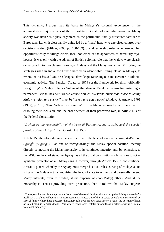This dynamic, I argue, has its basis in Malaysia's colonial experience, in the administrative requirements of the exploitative British colonial administration. Malay society was never as tightly organized as the patrimonial family structures familiar to Europeans, i.e. with clear family units, led by a (male) head who exercised control over decision-making. (Milner, 2008, pp. 188-189). Social leadership roles, when needed, fell opportunistically to village elders, local noblemen or the appointees of hereditary royal houses. It was only with the advent of British colonial rule that the Malays were clearly demarcated into two classes: non-royal Malays and the Malay monarchy. Mirroring the strategies used in India, the British needed an identifiable 'ruling class' in Malaya, to whom 'native issues' could be designated while guaranteeing non-interference in colonial economic activity. The Pangkor Treaty of 1874 set the framework for this: "officially recognizing" a Malay ruler as Sultan of the state of Perak, in return for installing a permanent British Resident whose advice "*on all questions other than those touching Malay religion and custom*" must be "*asked and acted upon*" (Andaya & Andaya, 1991 (1982), p. 155). This "official recognition" of the Malay monarchy had the effect of enabling their inclusion, and the enshrinement of their perceived role, in Article 153 of the Federal Constitution:

*"It shall be the responsibility of the Yang di-Pertuan Agong to safeguard the special position of the Malays"* (Fed. Const., Art. 153).

Article 153 therefore defines the specific role of the head of state – the *Yang di-Pertuan Agong*<sup>13</sup> ("*Agong*") – as one of "*safeguarding*" the Malay special position, thereby directly connecting the Malay monarchy to its continued integrity and, by extension, to the MSC. As head of state, the *Agong* has all the usual constitutional obligations to act as symbolic protector of all Malaysians. However, through Article 153, a constitutional caveat is placed whereby the *Agong* must merge his dual roles as King of Malaysia and King of the Malays – thus, requiring the head of state to actively and personally defend Malay interests, even, if needed, at the expense of (non-Malay) others. And, if the monarchy is seen as providing extra protection, then it follows that Malay subjects

<sup>&</sup>lt;sup>13</sup>The *Agong* himself is always drawn from one of the royal families that make up the 'Malay monarchy' itself not a single royal house, as in European monarchies. Out of the 13 states of Malaysia, 9 are ruled by a royal family whose head possesses hereditary rule over his own state. Every 5 years, the position of head of state (*Yang di-Pertuan Agong* – "he who is made lord") rotates among these 9 rulers, creating a unique rotational monarchy.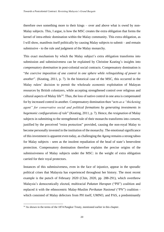therefore owe something more to their kings – over and above what is owed by non-Malay subjects. This, I argue, is how the MSC creates the extra obligation that forms the kernel of intra-ethnic domination within the Malay community. This extra obligation, as I will show, manifests itself politically by causing Malay subjects to submit – and remain submissive - to the rule and judgment of the Malay monarchy.

This exact mechanism by which the Malay subject's extra obligation transforms into submission and submissiveness can be explained by Christine Keating's insights into *compensatory domination* in post-colonial social contracts. Compensatory domination is "*the coercive imposition of one control in one sphere while relinquishing of power in another*". (Keating, 2011, p. 7). In the historical case of the MSC, this occurred in the Malay rulers' decision to permit the wholesale economic exploitation of Malayan resources by British colonizers, while accepting strengthened control over religious and cultural aspects of Malay life<sup>14</sup>. Thus, the loss of native control in one area is compensated for by increased control in another. Compensatory domination then "*acts as a "thickening agent" for conservative social and political formations by generating investments in hegemonic configurations of rule*" (Keating, 2011, p. 7). Hence, the *resignation* of Malay subjects in submitting to the strengthened rule of their monarchs transforms into *consent*, justified by the perceived "extra protection" provided, causing the non-royal Malay to become personally invested in the institution of the monarchy. The emotional significance of this investment is apparent even today, as challenging the *Agong* remains a strong taboo for Malay subjects - seen as the insolent repudiation of the head of state's benevolent protection. Compensatory domination therefore explains the precise origins of the submissiveness of Malay subjects under the MSC: in the weight of extra obligation carried for their royal protectors.

Instances of this submissiveness, even in the face of injustice, appear in the sporadic political crises that Malaysia has experienced throughout her history. The most recent example is the putsch of February 2020 (Chin, 2020, pp. 288-291), which overthrew Malaysia's democratically elected, multiracial *Pakatan Harapan* ("PH") coalition and replaced it with the ethnocentric Malay-Muslim *Perikatan Nasional* ("PN") coalition which consisted of Malay defectors from PH itself, UMNO, and PAS, a predominantly

<sup>&</sup>lt;sup>14</sup> As shown in the terms of the 1874 Pangkor Treaty, mentioned earlier in this chapter.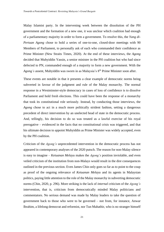Malay Islamist party. In the intervening week between the dissolution of the PH government and the formation of a new one, it was unclear which coalition had enough of a parliamentary majority in order to form a government. To resolve this, the *Yang di-Pertuan Agong* chose to hold a series of one-to-one, closed-door meetings with 90 Members of Parliament, to personally ask of each who commanded their confidence as Prime Minister (New Straits Times, 2020). At the end of these interviews, the *Agong* decided that Muhyiddin Yassin, a senior minister in the PH coalition but who had since defected to PN, commanded enough of a majority to form a new government. With the *Agong's* assent. Muhviddin was sworn in as Malaysia's 8<sup>th</sup> Prime Minister soon after.

These events are notable in that it presents a clear example of democratic norms being subverted in favour of the judgment and rule of the Malay monarchy. The normal response in a Westminster-style democracy in cases of loss of confidence is to dissolve Parliament and hold fresh elections. This could have been the response of a monarchy that took its constitutional role seriously. Instead, by conducting those interviews, the *Agong* chose to act in a much more politically strident fashion, setting a dangerous precedent of direct intervention by an unelected head of state in the democratic process. And, tellingly, his decision to do so was treated as a lawful exercise of his royal prerogative – evidenced in the facts that no constitutional crisis was triggered, and that his ultimate decision to appoint Muhyiddin as Prime Minister was widely accepted, even by the PH coalition.

Criticism of the *Agong's* unprecedented intervention in the democratic process has not appeared in contemporary analyses of the 2020 putsch. The reason for non-Malay silence is easy to imagine – *Ketuanan Melayu* makes the *Agong's* position inviolable, and even veiled criticism of the institution from non-Malays would result in the dire consequences outlined in the previous section. Even James Chin only goes so far as to point to the coup as proof of the ongoing relevance of *Ketuanan Melayu* and its agents in Malaysian politics, paying little attention to the role of the Malay monarchy in subverting democratic norms (Chin, 2020, p. 296). More striking is the lack of *internal* criticism of the *Agong's*  intervention, that is, criticism from democratically minded Malay politicians and commentators. No serious demand was made by Malay leaders to take the question of government back to those who were to be governed – not from, for instance, Anwar Ibrahim, a lifelong democrat and reformist, nor Tun Mahathir, who is no stranger himself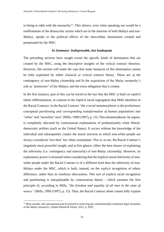to being at odds with the monarchy<sup>15</sup>. This silence, even when speaking out would be a reaffirmation of the democratic norms which are in the interests of both Malays and non-Malays, speaks to the political effects of the intra-ethnic domination created and perpetuated by the MSC.

#### *In Summary: Indispensable, but Inadequate*

<span id="page-21-0"></span>The preceding sections have sought reveal the specific kinds of domination that are created by the MSC, using the descriptive insights of the critical contract theorists. However, this section will make the case that some instances of this domination cannot be fully explained by either classical or critical contract theory. These are a) the contingency of non-Malay citizenship and b) the acquisition of the Malay monarchy's role as "protectors" of the Malays, and the extra obligation that it creates.

In the first instance, part of this can be traced to the fact that the MSC is built on *explicit* ethnic differentiation, in contrast to the *implicit* racial segregation that Mills identifies in the Racial Contract. In the Racial Contract "*the crucial metamorphosis is the preliminary conceptual partitioning and corresponding transformation of human populations into "white" and "nonwhite" men*" (Mills, 1999 (1997), p. 12). This metamorphosis, he argues, is completely obscured by contractarian explanations of predominantly white liberaldemocratic polities (such as the United States). It occurs without the knowledge of the individual and subsequently creates the moral universe in which non-white people are always considered 'less than' her white counterpart. This is, to me, the Racial Contract's singularly most powerful insight, and at first glance, offers the best chance of explaining the inferiority (i.e. contingency and insecurity) of non-Malay citizenship. However, its explanatory power is lessened when considering that the implicit moral inferiority of nonwhite people under the Racial Contract is of a different kind than the inferiority of non-Malays under the MSC, which is built, instead, on the *explicit* recognition of ethnic difference, rather than its insidious obscuration. This sort of explicit racial recognition and partitioning is unexplainable by contractarian theory - which assumes the first principle of, according to Mills, "*the freedom and equality of all men in the state of nature"* (Mills, 1999 (1997), p. 15). Thus, the Racial Contract alone cannot fully explain

 $15$  Most notably, the instrumental part he played in removing the constitutionally-enshrined legal immunity of the Malay monarchy. (Abdul Hamid & Ismail, 2012, p. 929)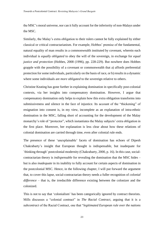the MSC's moral universe, nor can it fully account for the inferiority of non-Malays under the MSC.

Similarly, the Malay's extra obligation to their rulers cannot be fully explained by either classical or critical contractarianism. For example, Hobbes' premise of the fundamental, natural equality of man results in a commonwealth instituted by covenant, wherein each individual is *equally obligated* to obey the will of the sovereign, in exchange for *equal justice and protection* (Hobbes, 2008 (1996), pp. 228-229). But nowhere does Hobbes grapple with the possibility of a covenant or commonwealth that a) affords preferential protection for some individuals, particularly on the basis of race, or b) resultsin a dynamic where some individuals are *more obligated* to the sovereign relative to others.

Christine Keating has gone further in explaining domination in specifically post-colonial contexts, via her insights into compensatory domination. However, I argue that compensatory domination only helps to explain how this extra obligation transforms into submissiveness and silence in the face of injustice. Its account of the "thickening" of resignation into consent is, in my view, incomplete as an explanation of intra-ethnic domination in the MSC, falling short of accounting for the development of the Malay monarchy's role of "protector", which instantiates the Malay subjects' extra obligation in the first place. Moreover, her explanation is less clear about how these relations of colonial domination are carried through time, even after colonial rule ends.

The presence of these 'unexplainable' facets of domination has echoes of Dipesh Chakrabarty's insight that European thought is indispensable, but inadequate for 'thinking through' postcolonial modernity (Chakrabarty, 2000, p. 16). In this case, socialcontractarian theory is *indispensable* for revealing the domination that the MSC hides – but is also *inadequate* in its inability to fully account for certain aspects of domination in the postcolonial MSC. Hence, in the following chapter, I will put forward the argument that, to cover this lapse, social-contractarian theory needs a fuller recognition of *colonial difference* – that is, the irreducible difference existing between the colonizer and the colonized.

This is not to say that 'colonialism' has been categorically ignored by contract theorists. Mills discusses a "colonial contract" in *The Racial Contract*, arguing that it is a *subcontract* of the Racial Contract, one that "*legitimated European rule over the nations*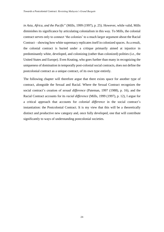*in Asia, Africa, and the Pacific*" (Mills, 1999 (1997), p. 25). However, while valid, Mills diminishes its significance by articulating colonialism in this way. To Mills, the colonial contract serves only to connect 'the colonies' to a much larger argument about the Racial Contract – showing how white supremacy replicates itself in colonized spaces. As a result, the colonial contract is buried under a critique primarily aimed at injustice in predominantly white, developed, and colonizing (rather than colonized) polities (i.e., the United States and Europe). Even Keating, who goes further than many in recognizing the uniqueness of domination in temporally post-colonial social contracts, does not define the postcolonial contract as a unique contract, of its own type entirely.

The following chapter will therefore argue that there exists space for another type of contract, alongside the Sexual and Racial. Where the Sexual Contract recognizes the social contract's creation of *sexual difference* (Pateman, 1997 (1988), p. 16), and the Racial Contract accounts for its *racial difference* (Mills, 1999 (1997), p. 12), I argue for a critical approach that accounts for *colonial difference* in the social contract's instantiation: the Postcolonial Contract. It is my view that this will be a theoretically distinct and productive new category and, once fully developed, one that will contribute significantly to ways of understanding postcolonial societies.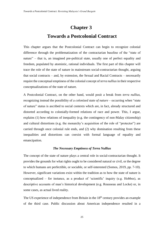# **Chapter 3: Towards a Postcolonial Contract**

<span id="page-24-0"></span>This chapter argues that the Postcolonial Contract can begin to recognize colonial difference through the problematization of the contractarian baseline of the "state of nature" – that is, an imagined pre-political state, usually one of perfect equality and freedom, populated by atomistic, rational individuals. The first part of this chapter will trace the role of the state of nature in mainstream social-contractarian thought, arguing that social contracts – and, by extension, the Sexual and Racial Contracts – necessarily require the conceptual emptiness of the colonial concept of *terra nullius*in their respective conceptualizations of the state of nature.

A Postcolonial Contract, on the other hand, would posit a break from *terra nullius*, recognizing instead the possibility of a *colonized state of nature* – occurring when "state of nature" status is ascribed to social contexts which are, in fact, already structured and distorted according to colonially-formed relations of race and power. This, I argue, explains (1) how relations of inequality (e.g. the contingency of non-Malay citizenship) and cultural distortions (e.g. the monarchy's acquisition of the role of "protector") are carried through once colonial rule ends, and (2) why domination resulting from these inequalities and distortions can coexist with formal language of equality and emancipation.

## *The Necessary Emptiness of Terra Nullius*

<span id="page-24-1"></span>The concept of the state of nature plays a central role in social-contractarian thought. It provides the grounds for what rights ought to be considered natural or civil, or the degree to which humans are perfectible, or sociable, or self-interested (Somos, 2019, pp. 7-10). However, significant variations exist within the tradition as to how the state of nature is conceptualized – for instance, as a product of 'scientific' inquiry (e.g. Hobbes), as descriptive accounts of man's historical development (e.g. Rousseau and Locke) or, in some cases, as actual lived reality.

The US experience of independence from Britain in the  $18<sup>th</sup>$  century provides an example of the third case. Public discussion about American independence resulted in a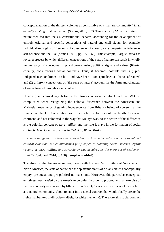conceptualization of the thirteen colonies as constitutive of a "natural community" in an *actually existing* "state of nature" (Somos, 2019, p. 7). This distinctly 'American' state of nature then fed into the US constitutional debates, accounting for the development of entirely original and specific conceptions of natural and civil rights, for example, individualized rights of freedom (of conscience, of speech, etc.), property, self-defence, self-reliance and the like (Somos, 2019, pp. 159-162). This example, I argue, serves to reveal a process by which different conceptions of the state of nature can result in wholly unique ways of conceptualizing and guaranteeing political rights and values (liberty, equality, etc.) through social contracts. Thus, it becomes possible that: (1) pre-Independence conditions can be – and have been – conceptualised as "states of nature" and (2) different conceptions of "the state of nature" account for the form and character of states formed through social contract.

However, an equivalency between the American social contract and the MSC is complicated when recognizing the colonial difference between the American and Malaysian experience of gaining independence from Britain - being, of course, that the framers of the US Constitution were themselves colonizers of the North American continent, and not colonized in the way that Malaya was. At the centre of this difference is the colonial concept of *terra nullius,* and the role it plays in the formation of social contracts. Glen Coulthard writes in *Red Skin, White Masks*:

*"Because Indigenous societies were considered so low on the natural scale of social and cultural evolution, settler authorities felt justified in claiming North America legally vacant, or terra nullius, and sovereignty was acquired by the mere act of settlement itself."* (Coulthard, 2014, p. 100). **(emphasis added)**

Therefore, to the American settlers, faced with the vast *terra nullius* of 'unoccupied' North America, the state of nature had the epistemic status of a blank slate: a conceptually empty, pre-social and pre-political no-mans-land. Moreover, this particular conceptual emptiness was *needed* by the American colonies, in order to proceed with an exercise of their sovereignty – expressed by filling up that 'empty' space with an image of themselves as a natural community, about to enter into a social contract that would finally create the rights that befitted civil society (albeit, for white men only). Therefore, this social contract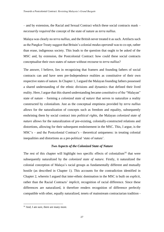– and by extension, the Racial and Sexual Contract which these social contracts mask – *necessarily required* the concept of the state of nature as *terra nullius*.

Malaya was clearly no *terra nullius,* and the British never treated it as such. Artifacts such as the Pangkor Treaty suggest that Britain's colonial *modus operandi* was to co-opt, rather than erase, indigenous society. This leads to the question that ought to be asked of the MSC and, by extension, the Postcolonial Contract: how could these social contracts conceptualise their own states of nature without recourse to *terra nullius*?

The answer, I believe, lies in recognizing that framers and founding fathers of social contracts can and have seen pre-Independence realities as constitutive of their own respective states of nature. In Chapter 1, I argued the Malayan founding fathers possessed a shared understanding of the ethnic divisions and dynamics that defined their lived reality. Here, I argue that this shared understanding became constitutive of the "Malayan" state of nature – forming a *colonized state of nature* that serves to naturalize a reality constructed by colonialism. Just as the conceptual emptiness provided by *terra nullius* allows for the naturalization of concepts such as freedom and equality, subsequently enshrining them by social contract into *political rights*, the Malayan *colonized state of nature* allows for the naturalization of pre-existing, colonially-constructed relations and distortions, allowing for their subsequent enshrinement in the MSC. This, I argue, is the MSC's – and the Postcolonial Contract's - theoretical uniqueness: in treating colonial inequalities and distortions as a pre-political 'state of nature'.

## *Two Aspects of the Colonized State of Nature*

<span id="page-26-0"></span>The rest of this chapter will highlight two specific effects of colonialism<sup>16</sup> that were subsequently naturalized by the *colonized state of nature.* Firstly, it naturalized the colonial conception of Malaya's racial groups as fundamentally different and mutually hostile (as described in Chapter 1). This accounts for the contradiction identified in Chapter 2, wherein I argued that inter-ethnic domination in the MSC is built on *explicit*, rather than the Racial Contracts' *implicit*, recognition of racial difference. Since these differences are naturalized, it therefore renders recognition of difference perfectly compatible with other, equally naturalized, tenets of mainstream contractarian tradition -

<sup>&</sup>lt;sup>16</sup> And, I am sure, there are many more.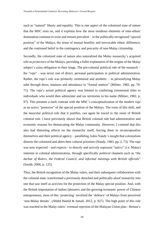such as "natural" liberty and equality. This is one aspect of the colonized state of nature that the MSC rests on, and it explains how the most insidious elements of inter-ethnic domination continue to exist and remain prevalent – in the politically-recognized "special position" of the Malays, the sense of mutual hostility and irrevocable ethnic difference, and the continued belief in the contingency and precarity of non-Malay citizenship.

Secondly, the colonized state of nature also naturalized the Malay monarchy's acquired role as *protectors* of the Malays, providing a fuller explanation of the origins of the Malay subject's extra obligation to their kings. The pre-colonial political role of the monarch – the "*raja*" - was never one of direct, personal participation in political administration. Rather, the *raja*'s role was primarily ceremonial and aesthetic – in personifying Malay *adat* through dress, manners and attendance to "formal matters" (Milner, 1982, pp. 70- 71). The *raja*'s actual political agency was limited to conferring ceremonial titles to individuals who would then administer and tax territories in his name (Milner, 1982, p. 97). This presents a stark contrast with the MSC's conceptualization of the modern *raja* as an active "protector" of the special position of the Malays. The roots of this shift, and the muscular political role that it justifies, can again be traced to the onset of British colonial rule. I have previously shown that British colonial rule had administrative and economic reasons for demarcating the Malay community. However, I contend that this also had distorting effects on the monarchy itself, forcing them to reconceptualize themselves and their political agency – paralleling Ashis Nandy's insight that colonialism distorts the colonized and alters their cultural priorities (Nandy, 1983, pp. 2, 73)*.* The *raja* was now expected – and expects - to directly and actively represent "native" (i.e. Malay) interests in colonial administration, through specifically *political* channels such as "*the durbar of Rulers, the Federal Council, and informal meetings with British officials*" (Smith, 2006, p. 125).

Thus, the British recognition of the Malay rulers, and their subsequent collaboration with the colonial state, transformed a previously detached and politically-aloof monarchy into one that saw itself as activists for the protection of the Malay special position. And, with the British importation of Indian labourers and the growing economic power of Chinese entrepreneurs, most of this 'protecting' involved the 'defence' of Malays from perceived 'non-Malay threats'. (Abdul Hamid & Ismail, 2012, p. 927). The high point of this role was reached in the Malay rulers' eventual rejection of the Malayan Union plan - Britain's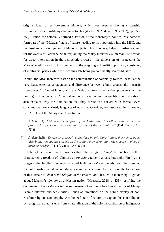original idea for self-governing Malaya, which was seen as having citizenship requirements for non-Malays that were too lax (Andaya & Andaya, 1991 (1982), pp. 255- 256). Hence, the colonially-formed distortion of the monarchy's political role came to form part of the "Malayan" state of nature, leading to its importation into the MSC, and the resultant extra obligation of Malay subjects. This, I believe, helps to further account for the events of February 2020, explaining the Malay monarchy's internal justification for direct intervention in the democratic process – the dimension of 'protecting the Malays' made clearer by the twin facts of the outgoing PH coalition primarily consisting of multiracial parties while the incoming PN being predominantly Malay-Muslim.

In sum, the MSC therefore rests on the naturalization of colonially-formed ideas - at the very least, essential antagonism and difference between ethnic groups, the intrinsic 'foreignness' of non-Malays, and the Malay monarchy as active protectors of the privileges of indigeneity. A naturalization of these colonial inequalities and distortions also explains why the domination that they create can coexist with formal, even constitutionally-enshrined, language of equality. Consider, for instance, the following two Articles of the Malaysian Constitution:

- *i. Article 3(1): "Islam is the religion of the Federation; but other religions may be practised in peace and harmony in any part of the Federation."* (Fed. Const., Art.  $3(1)$ ).
- *ii. Article 8(2): "Except as expressly authorized by this Constitution, there shall be no discrimination against citizens on the ground only of religion, race, descent, place of birth or gender…"* (Fed. Const., Art. 8(2)).

Article  $3(1)$ 's second clause provides that other religions "may" be practiced – thus characterizing freedom of religion as *permission,* rather than absolute right. Firstly, this suggests the implied deviancy of non-Muslim/non-Malay beliefs, and the assumed 'default' position of Islam and Malayness in the Federation. Furthermore, the first clause of this Article ("*Islam is the religion of the Federation*") has led to increasing litigation about Malaysia's identity as a Muslim nation (Moustafa, 2018, p. 138), justifying the domination of non-Malays in the suppression of religious freedom in favour of Malay-Islamic interests and sensitivities – such as limitations on the public display of non-Muslim religious iconography. A colonized state of nature can explain this contradiction by recognizing that it stems from a naturalization of the colonial conflation of indigenous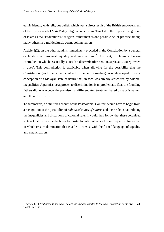ethnic identity with religious belief, which was a direct result of the British empowerment of the *raja* as head of *both* Malay religion and custom. This led to the explicit recognition of Islam as the "Federation's" religion, rather than as one possible belief-practice among many others in a multicultural, cosmopolitan nation.

Article 8(2), on the other hand, is immediately preceded in the Constitution by a general declaration of universal equality and rule of  $law<sup>17</sup>$ . And yet, it claims a bizarre contradiction which essentially states 'no discrimination shall take place… except when it does'. This contradiction is explicable when allowing for the possibility that the Constitution (and the social contract it helped formalize) was developed from a conception of a Malayan state of nature that, in fact, was already structured by colonial inequalities. A permissive approach to discrimination is unproblematic if, as the founding fathers did, one accepts the premise that differentiated treatment based on race is natural and therefore justified.

To summarize, a definitive account of the Postcolonial Contract would have to begin from a recognition of the possibility of *colonized states of nature*, and their role in naturalizing the inequalities and distortions of colonial rule. It would then follow that these colonized states of nature provide the bases for Postcolonial Contracts – the subsequent enforcement of which creates domination that is able to coexist with the formal language of equality and emancipation.

<sup>17</sup> Article 8(1): "*All persons are equal before the law and entitled to the equal protection of the law*" (Fed. Const., Art. 8(1)).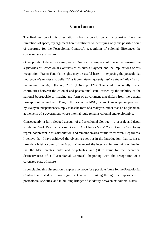## **Conclusion**

<span id="page-30-0"></span>The final section of this dissertation is both a conclusion and a caveat – given the limitations of space, my argument here is restricted to identifying only one possible point of departure for the Postcolonial Contract's recognition of colonial difference: the colonized state of nature.

Other points of departure surely exist. One such example could be in recognising the signatories of Postcolonial Contracts as *colonized subjects*, and the implications of this recognition. Frantz Fanon's insights may be useful here – in exposing the postcolonial bourgeoisie's narcissistic belief "*that it can advantageously replace the middle class of the mother country*" (Fanon, 2001 (1967), p. 120). This could potentially reveal continuities between the colonial and postcolonial state, caused by the inability of the national bourgeoisie to imagine any form of government that differs from the general principles of colonial rule. Thus, in the case of the MSC, the great emancipation promised by Malayan independence simply takes the form of a Malayan, rather than an Englishman, at the helm of a government whose internal logic remains colonial and exploitative.

Consequently, a fully-fledged account of a Postcolonial Contract – at a scale and depth similar to Carole Pateman's *Sexual Contract* or Charles Mills' *Racial Contract* - is, to my regret, not present in this dissertation, and remains an area for future research. Regardless, I believe that I have achieved the objectives set out in the Introduction, that is, (1) to provide a brief account of the MSC, (2) to reveal the inter and intra-ethnic domination that the MSC creates, hides and perpetuates, and (3) to argue for the theoretical distinctiveness of a "Postcolonial Contract", beginning with the recognition of a colonized state of nature.

In concluding this dissertation, I express my hope for a possible future for the Postcolonial Contract: in that it will have significant value in thinking through the experiences of postcolonial societies, and in building bridges of solidarity between ex-colonial states.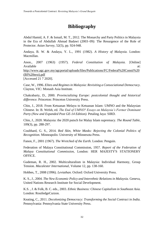## **Bibliography**

<span id="page-31-0"></span>Abdul Hamid, A. F. & Ismail, M. T., 2012. The Monarchy and Party Politics in Malaysia in the Era of Abdullah Ahmad Badawi (2003–09): The Resurgence of the Role of Protector. *Asian Survey,* 52(5), pp. 924-948.

Andaya, B. W. & Andaya, Y. L., 1991 (1982). *A History of Malaysia.* London: Macmillan.

Anon., 2007 (1963) (1957). *Federal Constitution of Malaysia.* [Online] Available at: http://www.agc.gov.my/agcportal/uploads/files/Publications/FC/Federal%20Consti%20 (BI%20text).pdf

[Accessed 21 7 2020].

Case, W., 1996. *Elites and Regimes in Malaysia: Revisiting a Consociational Democracy.*  Clayton, VIC: Monash Asia Institute.

Chakrabarty, D., 2000. *Provincializing Europe: postcolonial thought and historical difference.* Princeton: Princeton University Press.

Chin, J., 2018. From Ketuanan Melayu to Ketuanan Islam: UMNO and the Malaysian Chinese. In: B. Welsh, ed. *The End of UMNO? Essays on Malaysia's Former Dominant Party (New and Expanded Post GE-14 Edition).* Petaling Jaya: SIRD.

Chin, J., 2020. Malaysia: the 2020 putsch for Malay Islam supremacy. *The Round Table,*  109(3), pp. 288-297.

Coulthard, G. S., 2014. *Red Skin, White Masks: Rejecting the Colonial Politics of Recognition.* Minneapolis: University of Minnesota Press.

Fanon, F., 2001 (1967). *The Wretched of the Earth.* London: Penguin.

Federation of Malaya Constitutional Commission, 1957. *Report of the Federation of Malaya Constitutional Commission,* London: HER MAJESTY'S STATIONERY OFFICE.

Gudeman, R. H., 2002. Multiculturalism in Malaysia: Individual Harmony, Group Tension. *Macalester International,* Volume 12, pp. 138-160.

Hobbes, T., 2008 (1996). *Leviathan.* Oxford: Oxford University Press.

K. S., J., 2004. *The New Economic Policy and Interethnic Relations in Malaysia.* Geneva, United Nations Research Institute for Social Development.

K.S. , J. & Folk, B. C. eds., 2003. *Ethnic Business: Chinese Capitalism in Southeast Asia.*  London: RoutledgeCurzon.

Keating, C., 2011. *Decolonizing Democracy: Transforming the Social Contract in India.*  Pennsylvania: Pennsylvania State University Press.